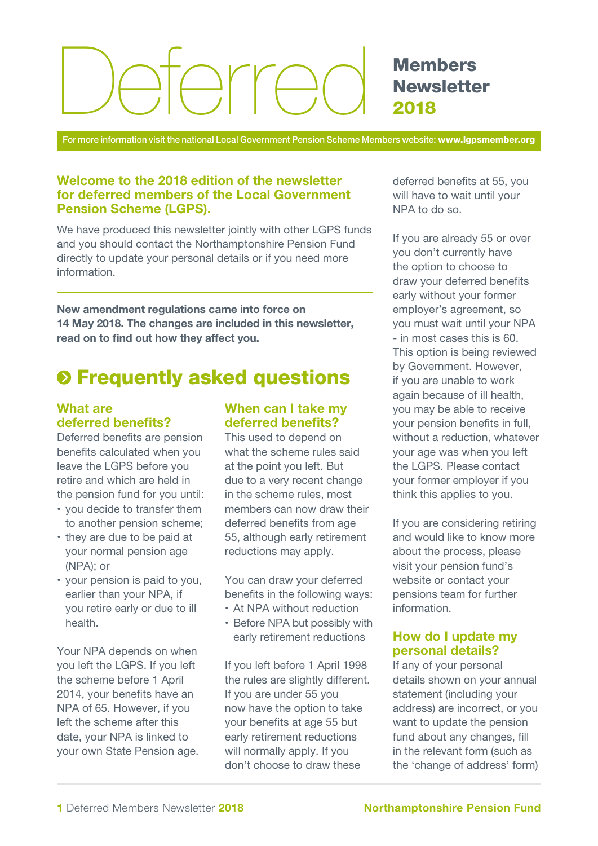# Arrer

**Members Newsletter** 2018

For more information visit the national Local Government Pension Scheme Members website: www.lgpsmember.org

## Welcome to the 2018 edition of the newsletter for deferred members of the Local Government Pension Scheme (LGPS).

We have produced this newsletter jointly with other LGPS funds and you should contact the Northamptonshire Pension Fund directly to update your personal details or if you need more information.

New amendment regulations came into force on 14 May 2018. The changes are included in this newsletter, read on to find out how they affect you.

# $\odot$  **Frequently asked questions**

## What are deferred benefits?

Deferred benefits are pension benefits calculated when you leave the LGPS before you retire and which are held in the pension fund for you until:

- you decide to transfer them to another pension scheme;
- they are due to be paid at your normal pension age (NPA); or
- your pension is paid to you, earlier than your NPA, if you retire early or due to ill health.

Your NPA depends on when you left the LGPS. If you left the scheme before 1 April 2014, your benefits have an NPA of 65. However, if you left the scheme after this date, your NPA is linked to your own State Pension age.

## When can I take my deferred benefits?

This used to depend on what the scheme rules said at the point you left. But due to a very recent change in the scheme rules, most members can now draw their deferred benefits from age 55, although early retirement reductions may apply.

You can draw your deferred benefits in the following ways:

- At NPA without reduction
- Before NPA but possibly with early retirement reductions

If you left before 1 April 1998 the rules are slightly different. If you are under 55 you now have the option to take your benefits at age 55 but early retirement reductions will normally apply. If you don't choose to draw these

deferred benefits at 55, you will have to wait until your NPA to do so.

If you are already 55 or over you don't currently have the option to choose to draw your deferred benefits early without your former employer's agreement, so you must wait until your NPA - in most cases this is 60. This option is being reviewed by Government. However, if you are unable to work again because of ill health, you may be able to receive your pension benefits in full, without a reduction, whatever your age was when you left the LGPS. Please contact your former employer if you think this applies to you.

If you are considering retiring and would like to know more about the process, please visit your pension fund's website or contact your pensions team for further information.

## How do I update my personal details?

If any of your personal details shown on your annual statement (including your address) are incorrect, or you want to update the pension fund about any changes, fill in the relevant form (such as the 'change of address' form)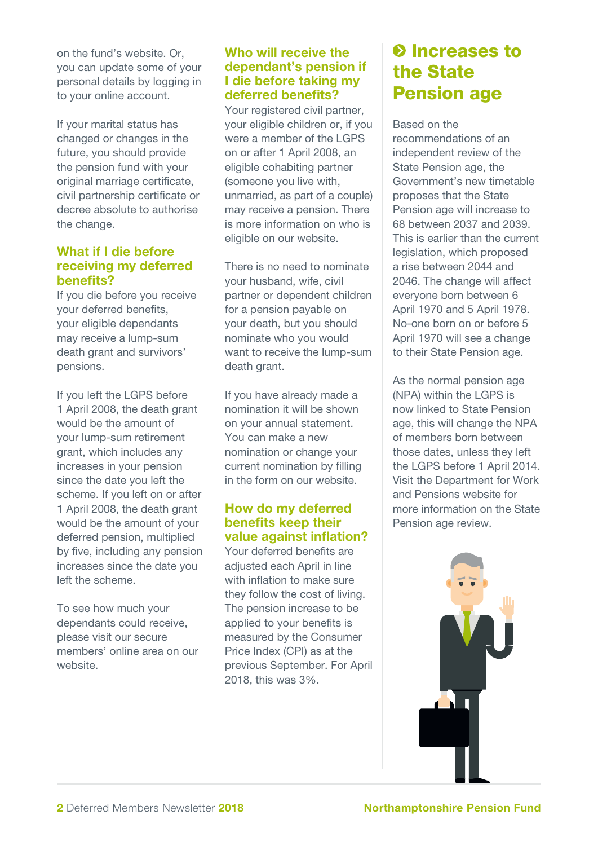on the fund's website. Or, you can update some of your personal details by logging in to your online account.

If your marital status has changed or changes in the future, you should provide the pension fund with your original marriage certificate, civil partnership certificate or decree absolute to authorise the change.

## What if I die before receiving my deferred benefits?

If you die before you receive your deferred benefits, your eligible dependants may receive a lump-sum death grant and survivors' pensions.

If you left the LGPS before 1 April 2008, the death grant would be the amount of your lump-sum retirement grant, which includes any increases in your pension since the date you left the scheme. If you left on or after 1 April 2008, the death grant would be the amount of your deferred pension, multiplied by five, including any pension increases since the date you left the scheme.

To see how much your dependants could receive, please visit our secure members' online area on our website.

## Who will receive the dependant's pension if I die before taking my deferred benefits?

Your registered civil partner, your eligible children or, if you were a member of the LGPS on or after 1 April 2008, an eligible cohabiting partner (someone you live with, unmarried, as part of a couple) may receive a pension. There is more information on who is eligible on our website.

There is no need to nominate your husband, wife, civil partner or dependent children for a pension payable on your death, but you should nominate who you would want to receive the lump-sum death grant.

If you have already made a nomination it will be shown on your annual statement. You can make a new nomination or change your current nomination by filling in the form on our website.

## How do my deferred benefits keep their value against inflation?

Your deferred benefits are adjusted each April in line with inflation to make sure they follow the cost of living. The pension increase to be applied to your benefits is measured by the Consumer Price Index (CPI) as at the previous September. For April 2018, this was 3%.

# **O** Increases to the State Pension age

Based on the recommendations of an independent review of the State Pension age, the Government's new timetable proposes that the State Pension age will increase to 68 between 2037 and 2039. This is earlier than the current legislation, which proposed a rise between 2044 and 2046. The change will affect everyone born between 6 April 1970 and 5 April 1978. No-one born on or before 5 April 1970 will see a change to their State Pension age.

As the normal pension age (NPA) within the LGPS is now linked to State Pension age, this will change the NPA of members born between those dates, unless they left the LGPS before 1 April 2014. Visit the Department for Work and Pensions website for more information on the State Pension age review.

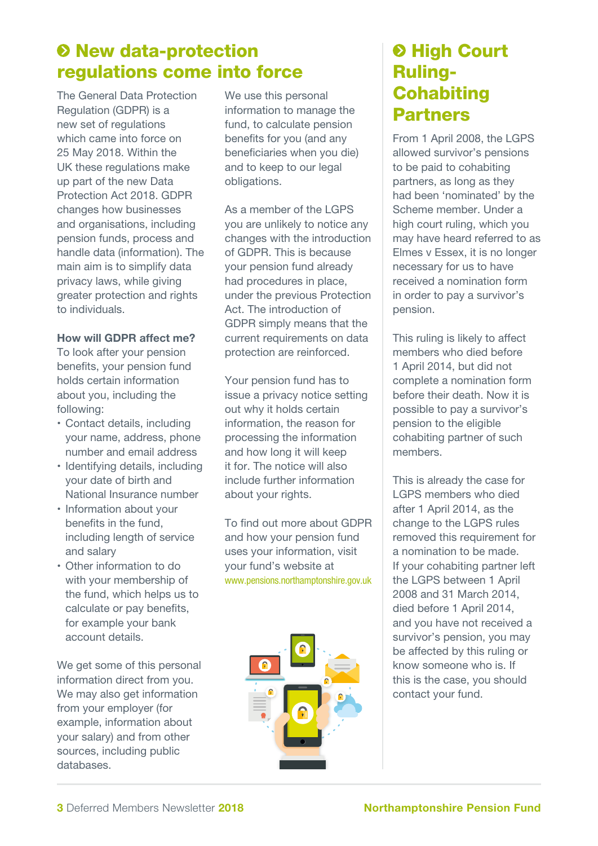# $\odot$  **New data-protection** regulations come into force

The General Data Protection Regulation (GDPR) is a new set of regulations which came into force on 25 May 2018. Within the UK these regulations make up part of the new Data Protection Act 2018. GDPR changes how businesses and organisations, including pension funds, process and handle data (information). The main aim is to simplify data privacy laws, while giving greater protection and rights to individuals.

## How will GDPR affect me?

To look after your pension benefits, your pension fund holds certain information about you, including the following:

- Contact details, including your name, address, phone number and email address
- Identifying details, including your date of birth and National Insurance number
- Information about your benefits in the fund, including length of service and salary
- Other information to do with your membership of the fund, which helps us to calculate or pay benefits, for example your bank account details.

We get some of this personal information direct from you. We may also get information from your employer (for example, information about your salary) and from other sources, including public databases.

We use this personal information to manage the fund, to calculate pension benefits for you (and any beneficiaries when you die) and to keep to our legal obligations.

As a member of the LGPS you are unlikely to notice any changes with the introduction of GDPR. This is because your pension fund already had procedures in place, under the previous Protection Act. The introduction of GDPR simply means that the current requirements on data protection are reinforced.

Your pension fund has to issue a privacy notice setting out why it holds certain information, the reason for processing the information and how long it will keep it for. The notice will also include further information about your rights.

To find out more about GDPR and how your pension fund uses your information, visit your fund's website at www.pensions.northamptonshire.gov.uk



# **& High Court** Ruling-**Cohabiting** Partners

From 1 April 2008, the LGPS allowed survivor's pensions to be paid to cohabiting partners, as long as they had been 'nominated' by the Scheme member. Under a high court ruling, which you may have heard referred to as Elmes v Essex, it is no longer necessary for us to have received a nomination form in order to pay a survivor's pension.

This ruling is likely to affect members who died before 1 April 2014, but did not complete a nomination form before their death. Now it is possible to pay a survivor's pension to the eligible cohabiting partner of such members.

This is already the case for LGPS members who died after 1 April 2014, as the change to the LGPS rules removed this requirement for a nomination to be made. If your cohabiting partner left the LGPS between 1 April 2008 and 31 March 2014, died before 1 April 2014, and you have not received a survivor's pension, you may be affected by this ruling or know someone who is. If this is the case, you should contact your fund.